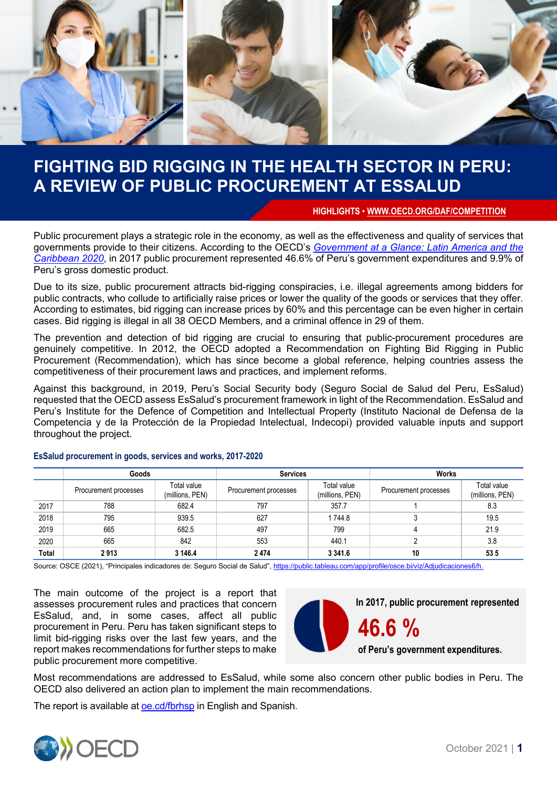

## **FIGHTING BID RIGGING IN THE HEALTH SECTOR IN PERU: A REVIEW OF PUBLIC PROCUREMENT AT ESSALUD**

**HIGHLIGHTS** • **<WWW.OECD.ORG/DAF/COMPETITION>**

Public procurement plays a strategic role in the economy, as well as the effectiveness and quality of services that governments provide to their citizens. According to the OECD's *[Government at a Glance: Latin America and the](https://www.oecd.org/gov/government-at-a-glance-latin-america-and-the-caribbean-2020-13130fbb-en.htm)  [Caribbean 2020](https://www.oecd.org/gov/government-at-a-glance-latin-america-and-the-caribbean-2020-13130fbb-en.htm)*, in 2017 public procurement represented 46.6% of Peru's government expenditures and 9.9% of Peru's gross domestic product.

Due to its size, public procurement attracts bid-rigging conspiracies, i.e. illegal agreements among bidders for public contracts, who collude to artificially raise prices or lower the quality of the goods or services that they offer. According to estimates, bid rigging can increase prices by 60% and this percentage can be even higher in certain cases. Bid rigging is illegal in all 38 OECD Members, and a criminal offence in 29 of them.

The prevention and detection of bid rigging are crucial to ensuring that public-procurement procedures are genuinely competitive. In 2012, the OECD adopted a Recommendation on Fighting Bid Rigging in Public Procurement (Recommendation), which has since become a global reference, helping countries assess the competitiveness of their procurement laws and practices, and implement reforms.

Against this background, in 2019, Peru's Social Security body (Seguro Social de Salud del Peru, EsSalud) requested that the OECD assess EsSalud's procurement framework in light of the Recommendation. EsSalud and Peru's Institute for the Defence of Competition and Intellectual Property (Instituto Nacional de Defensa de la Competencia y de la Protección de la Propiedad Intelectual, Indecopi) provided valuable inputs and support throughout the project.

|       | Goods                 |                                | <b>Services</b>       |                                | Works                 |                                |
|-------|-----------------------|--------------------------------|-----------------------|--------------------------------|-----------------------|--------------------------------|
|       | Procurement processes | Total value<br>(millions, PEN) | Procurement processes | Total value<br>(millions, PEN) | Procurement processes | Total value<br>(millions, PEN) |
| 2017  | 788                   | 682.4                          | 797                   | 357.7                          |                       | 8.3                            |
| 2018  | 795                   | 939.5                          | 627                   | 1744.8                         |                       | 19.5                           |
| 2019  | 665                   | 682.5                          | 497                   | 799                            |                       | 21.9                           |
| 2020  | 665                   | 842                            | 553                   | 440.1                          |                       | 3.8                            |
| Total | 2913                  | 3 146.4                        | 2474                  | 3 3 4 1 . 6                    | 10                    | 535                            |

#### **EsSalud procurement in goods, services and works, 2017-2020**

Source: OSCE (2021), "Principales indicadores de: Seguro Social de Salud"[, https://public.tableau.com/app/profile/osce.bi/viz/Adjudicaciones6/h.](https://public.tableau.com/app/profile/osce.bi/viz/Adjudicaciones6/h)

The main outcome of the project is a report that assesses procurement rules and practices that concern EsSalud, and, in some cases, affect all public procurement in Peru. Peru has taken significant steps to limit bid-rigging risks over the last few years, and the report makes recommendations for further steps to make public procurement more competitive.



Most recommendations are addressed to EsSalud, while some also concern other public bodies in Peru. The OECD also delivered an action plan to implement the main recommendations.

The report is available at [oe.cd/fbrhsp](https://www.oecd.org/fr/daf/concurrence/fighting-bid-rigging-in-the-health-sector-in-peru-a-review-of-public-procurement-at-essalud.htm) in English and Spanish.

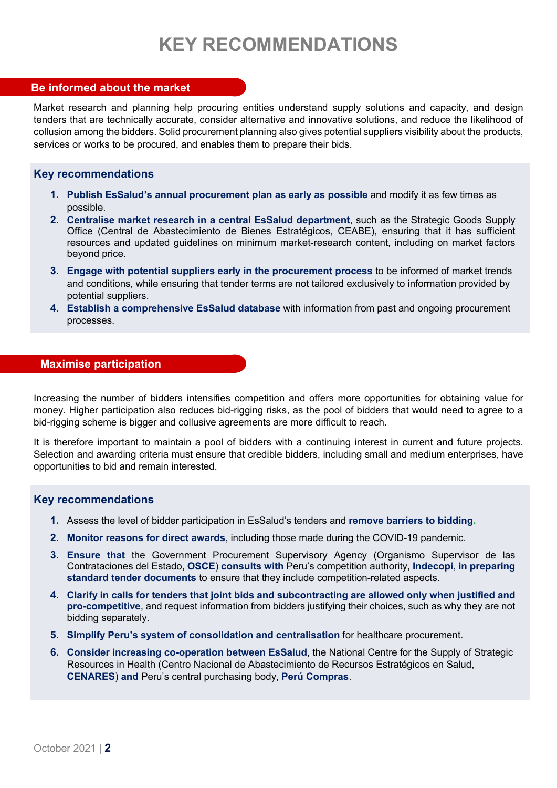# **KEY RECOMMENDATIONS**

## **Be informed about the market**

Market research and planning help procuring entities understand supply solutions and capacity, and design tenders that are technically accurate, consider alternative and innovative solutions, and reduce the likelihood of collusion among the bidders. Solid procurement planning also gives potential suppliers visibility about the products, services or works to be procured, and enables them to prepare their bids.

## **Key recommendations**

- **1. Publish EsSalud's annual procurement plan as early as possible** and modify it as few times as possible.
- **2. Centralise market research in a central EsSalud department**, such as the Strategic Goods Supply Office (Central de Abastecimiento de Bienes Estratégicos, CEABE), ensuring that it has sufficient resources and updated guidelines on minimum market-research content, including on market factors beyond price.
- **3. Engage with potential suppliers early in the procurement process** to be informed of market trends and conditions, while ensuring that tender terms are not tailored exclusively to information provided by potential suppliers.
- **4. Establish a comprehensive EsSalud database** with information from past and ongoing procurement processes.

## **Maximise participation**

Increasing the number of bidders intensifies competition and offers more opportunities for obtaining value for money. Higher participation also reduces bid-rigging risks, as the pool of bidders that would need to agree to a bid-rigging scheme is bigger and collusive agreements are more difficult to reach.

It is therefore important to maintain a pool of bidders with a continuing interest in current and future projects. Selection and awarding criteria must ensure that credible bidders, including small and medium enterprises, have opportunities to bid and remain interested.

## **Key recommendations**

- **1.** Assess the level of bidder participation in EsSalud's tenders and **remove barriers to bidding.**
- **2. Monitor reasons for direct awards**, including those made during the COVID-19 pandemic.
- **3. Ensure that** the Government Procurement Supervisory Agency (Organismo Supervisor de las Contrataciones del Estado, **OSCE**) **consults with** Peru's competition authority, **Indecopi**, **in preparing standard tender documents** to ensure that they include competition-related aspects.
- **4. Clarify in calls for tenders that joint bids and subcontracting are allowed only when justified and pro-competitive**, and request information from bidders justifying their choices, such as why they are not bidding separately.
- **5. Simplify Peru's system of consolidation and centralisation** for healthcare procurement.
- **6. Consider increasing co-operation between EsSalud**, the National Centre for the Supply of Strategic Resources in Health (Centro Nacional de Abastecimiento de Recursos Estratégicos en Salud, **CENARES**) **and** Peru's central purchasing body, **Perú Compras**.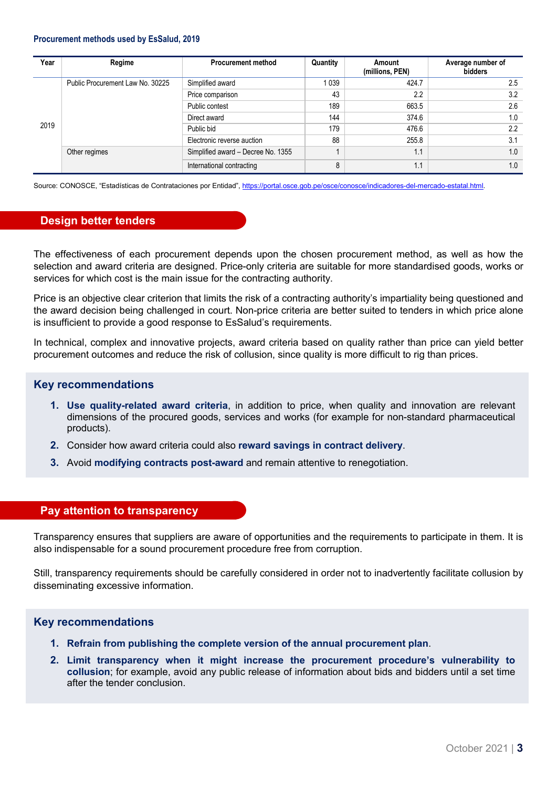#### **Procurement methods used by EsSalud, 2019**

| Year | Regime                           | <b>Procurement method</b>          | Quantity | Amount<br>(millions, PEN) | Average number of<br>bidders |
|------|----------------------------------|------------------------------------|----------|---------------------------|------------------------------|
| 2019 | Public Procurement Law No. 30225 | Simplified award                   | 039      | 424.7                     | 2.5                          |
|      |                                  | Price comparison                   | 43       | 2.2                       | 3.2                          |
|      |                                  | Public contest                     | 189      | 663.5                     | 2.6                          |
|      |                                  | Direct award                       | 144      | 374.6                     | 1.0                          |
|      |                                  | Public bid                         | 179      | 476.6                     | $2.2\phantom{0}$             |
|      |                                  | Electronic reverse auction         | 88       | 255.8                     | 3.1                          |
|      | Other regimes                    | Simplified award - Decree No. 1355 |          | 1.1                       | 1.0                          |
|      |                                  | International contracting          | 8        | 1.1                       | 1.0                          |

Source: CONOSCE, "Estadísticas de Contrataciones por Entidad"[, https://portal.osce.gob.pe/osce/conosce/indicadores-del-mercado-estatal.html.](https://portal.osce.gob.pe/osce/conosce/indicadores-del-mercado-estatal.html) 

#### **Design better tenders**

The effectiveness of each procurement depends upon the chosen procurement method, as well as how the selection and award criteria are designed. Price-only criteria are suitable for more standardised goods, works or services for which cost is the main issue for the contracting authority.

Price is an objective clear criterion that limits the risk of a contracting authority's impartiality being questioned and the award decision being challenged in court. Non-price criteria are better suited to tenders in which price alone is insufficient to provide a good response to EsSalud's requirements.

In technical, complex and innovative projects, award criteria based on quality rather than price can yield better procurement outcomes and reduce the risk of collusion, since quality is more difficult to rig than prices.

#### **Key recommendations**

- **1. Use quality-related award criteria**, in addition to price, when quality and innovation are relevant dimensions of the procured goods, services and works (for example for non-standard pharmaceutical products).
- **2.** Consider how award criteria could also **reward savings in contract delivery**.
- **3.** Avoid **modifying contracts post-award** and remain attentive to renegotiation.

#### **Pay attention to transparency**

Transparency ensures that suppliers are aware of opportunities and the requirements to participate in them. It is also indispensable for a sound procurement procedure free from corruption.

Still, transparency requirements should be carefully considered in order not to inadvertently facilitate collusion by disseminating excessive information.

#### **Key recommendations**

- **1. Refrain from publishing the complete version of the annual procurement plan**.
- **2. Limit transparency when it might increase the procurement procedure's vulnerability to collusion**; for example, avoid any public release of information about bids and bidders until a set time after the tender conclusion.